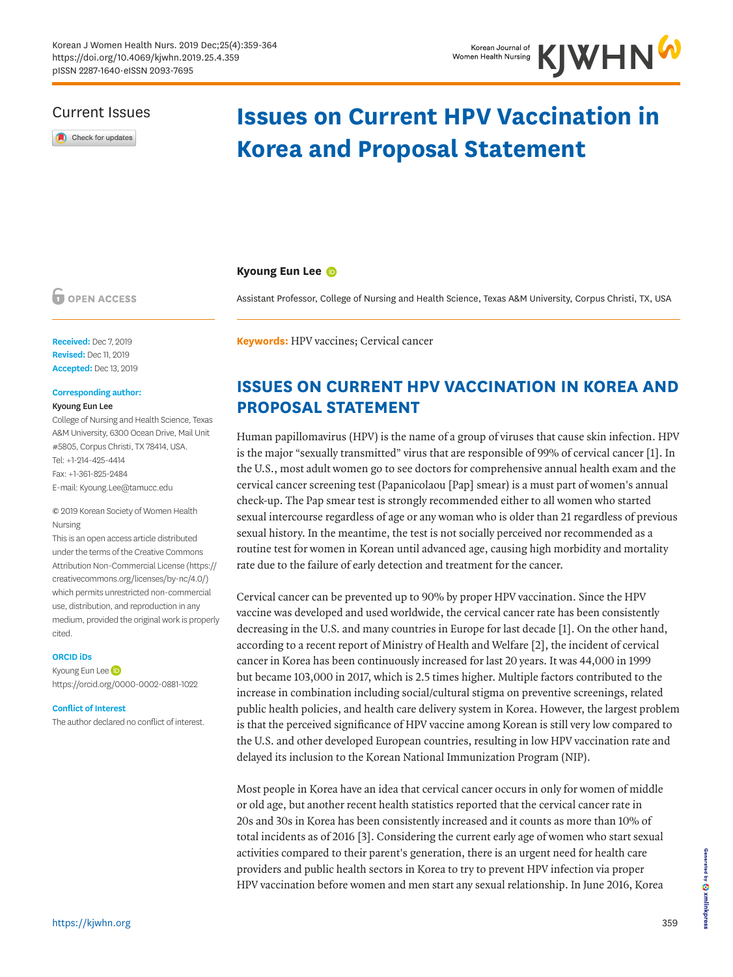### Current Issues

Check for updates

# **Issues on Current HPV Vaccination in Korea and Proposal Statement**

### **Kyoung Eun Lee**

**OPEN ACCESS** 

**Received:** Dec 7, 2019 **Revised:** Dec 11, 2019 **Accepted:** Dec 13, 2019

### **Corresponding author:**

#### Kyoung Eun Lee

College of Nursing and Health Science, Texas A&M University, 6300 Ocean Drive, Mail Unit #5805, Corpus Christi, TX 78414, USA. Tel: +1-214-425-4414 Fax: +1-361-825-2484 E-mail: Kyoung.Lee@tamucc.edu

© 2019 Korean Society of Women Health Nursing

This is an open access article distributed under the terms of the Creative Commons Attribution Non-Commercial License [\(https://](https://creativecommons.org/licenses/by-nc/4.0/) [creativecommons.org/licenses/by-nc/4.0/](https://creativecommons.org/licenses/by-nc/4.0/)) which permits unrestricted non-commercial use, distribution, and reproduction in any medium, provided the original work is properly cited.

#### **ORCID iDs**

Kyoung Eun Le[e](https://orcid.org/0000-0002-0881-1022)  <https://orcid.org/0000-0002-0881-1022>

#### **Conflict of Interest**

The author declared no conflict of interest.

**Keywords:** HPV vaccines; Cervical cancer

# **ISSUES ON CURRENT HPV VACCINATION IN KOREA AND PROPOSAL STATEMENT**

Assistant Professor, College of Nursing and Health Science, Texas A&M University, Corpus Christi, TX, USA

Human papillomavirus (HPV) is the name of a group of viruses that cause skin infection. HPV is the major "sexually transmitted" virus that are responsible of 99% of cervical cancer [[1](#page-4-0)]. In the U.S., most adult women go to see doctors for comprehensive annual health exam and the cervical cancer screening test (Papanicolaou [Pap] smear) is a must part of women's annual check-up. The Pap smear test is strongly recommended either to all women who started sexual intercourse regardless of age or any woman who is older than 21 regardless of previous sexual history. In the meantime, the test is not socially perceived nor recommended as a routine test for women in Korean until advanced age, causing high morbidity and mortality rate due to the failure of early detection and treatment for the cancer.

<span id="page-0-0"></span>Cervical cancer can be prevented up to 90% by proper HPV vaccination. Since the HPV vaccine was developed and used worldwide, the cervical cancer rate has been consistently decreasing in the U.S. and many countries in Europe for last decade [\[1\]](#page-4-0). On the other hand, according to a recent report of Ministry of Health and Welfare [\[2\]](#page-4-1), the incident of cervical cancer in Korea has been continuously increased for last 20 years. It was 44,000 in 1999 but became 103,000 in 2017, which is 2.5 times higher. Multiple factors contributed to the increase in combination including social/cultural stigma on preventive screenings, related public health policies, and health care delivery system in Korea. However, the largest problem is that the perceived significance of HPV vaccine among Korean is still very low compared to the U.S. and other developed European countries, resulting in low HPV vaccination rate and delayed its inclusion to the Korean National Immunization Program (NIP).

<span id="page-0-1"></span>Most people in Korea have an idea that cervical cancer occurs in only for women of middle or old age, but another recent health statistics reported that the cervical cancer rate in 20s and 30s in Korea has been consistently increased and it counts as more than 10% of total incidents as of 2016 [[3](#page-4-2)]. Considering the current early age of women who start sexual activities compared to their parent's generation, there is an urgent need for health care providers and public health sectors in Korea to try to prevent HPV infection via proper HPV vaccination before women and men start any sexual relationship. In June 2016, Korea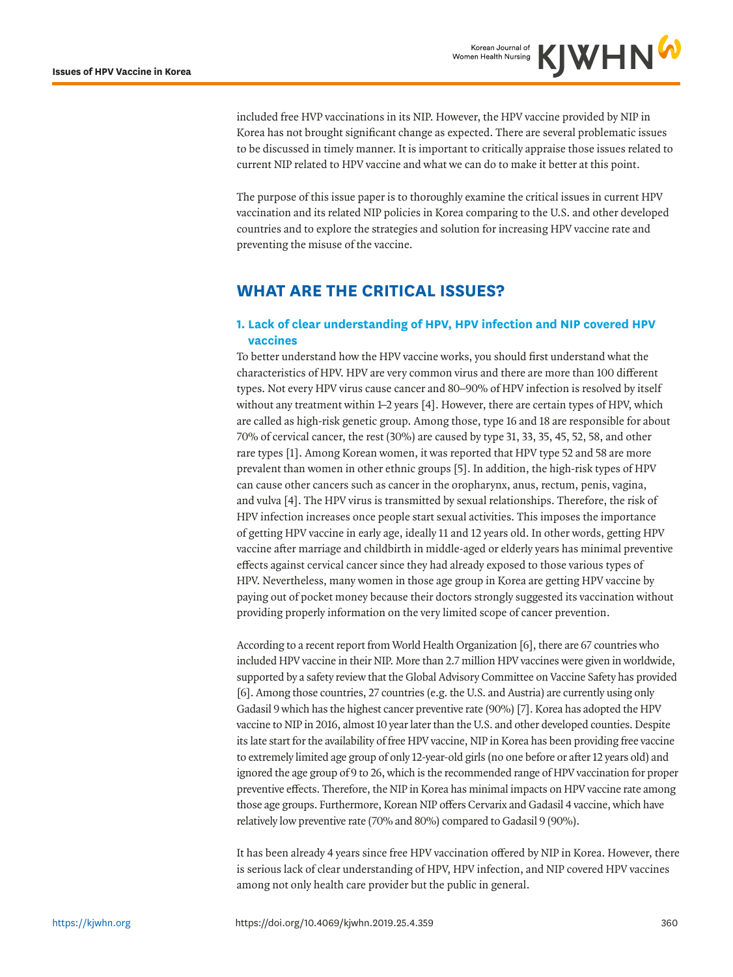included free HVP vaccinations in its NIP. However, the HPV vaccine provided by NIP in Korea has not brought significant change as expected. There are several problematic issues to be discussed in timely manner. It is important to critically appraise those issues related to current NIP related to HPV vaccine and what we can do to make it better at this point.

The purpose of this issue paper is to thoroughly examine the critical issues in current HPV vaccination and its related NIP policies in Korea comparing to the U.S. and other developed countries and to explore the strategies and solution for increasing HPV vaccine rate and preventing the misuse of the vaccine.

# **WHAT ARE THE CRITICAL ISSUES?**

### **1. Lack of clear understanding of HPV, HPV infection and NIP covered HPV vaccines**

<span id="page-1-1"></span><span id="page-1-0"></span>To better understand how the HPV vaccine works, you should first understand what the characteristics of HPV. HPV are very common virus and there are more than 100 different types. Not every HPV virus cause cancer and 80–90% of HPV infection is resolved by itself without any treatment within 1–2 years [[4\]](#page-5-0). However, there are certain types of HPV, which are called as high-risk genetic group. Among those, type 16 and 18 are responsible for about 70% of cervical cancer, the rest (30%) are caused by type 31, 33, 35, 45, 52, 58, and other rare types [[1](#page-4-0)]. Among Korean women, it was reported that HPV type 52 and 58 are more prevalent than women in other ethnic groups [\[5](#page-5-1)]. In addition, the high-risk types of HPV can cause other cancers such as cancer in the oropharynx, anus, rectum, penis, vagina, and vulva [\[4\]](#page-5-0). The HPV virus is transmitted by sexual relationships. Therefore, the risk of HPV infection increases once people start sexual activities. This imposes the importance of getting HPV vaccine in early age, ideally 11 and 12 years old. In other words, getting HPV vaccine after marriage and childbirth in middle-aged or elderly years has minimal preventive effects against cervical cancer since they had already exposed to those various types of HPV. Nevertheless, many women in those age group in Korea are getting HPV vaccine by paying out of pocket money because their doctors strongly suggested its vaccination without providing properly information on the very limited scope of cancer prevention.

According to a recent report from World Health Organization [\[6\]](#page-5-2), there are 67 countries who included HPV vaccine in their NIP. More than 2.7 million HPV vaccines were given in worldwide, supported by a safety review that the Global Advisory Committee on Vaccine Safety has provided [[6](#page-5-2)]. Among those countries, 27 countries (e.g. the U.S. and Austria) are currently using only Gadasil 9 which has the highest cancer preventive rate (90%) [\[7](#page-5-3)]. Korea has adopted the HPV vaccine to NIP in 2016, almost 10 year later than the U.S. and other developed counties. Despite its late start for the availability of free HPV vaccine, NIP in Korea has been providing free vaccine to extremely limited age group of only 12-year-old girls (no one before or after 12 years old) and ignored the age group of 9 to 26, which is the recommended range of HPV vaccination for proper preventive effects. Therefore, the NIP in Korea has minimal impacts on HPV vaccine rate among those age groups. Furthermore, Korean NIP offers Cervarix and Gadasil 4 vaccine, which have relatively low preventive rate (70% and 80%) compared to Gadasil 9 (90%).

It has been already 4 years since free HPV vaccination offered by NIP in Korea. However, there is serious lack of clear understanding of HPV, HPV infection, and NIP covered HPV vaccines among not only health care provider but the public in general.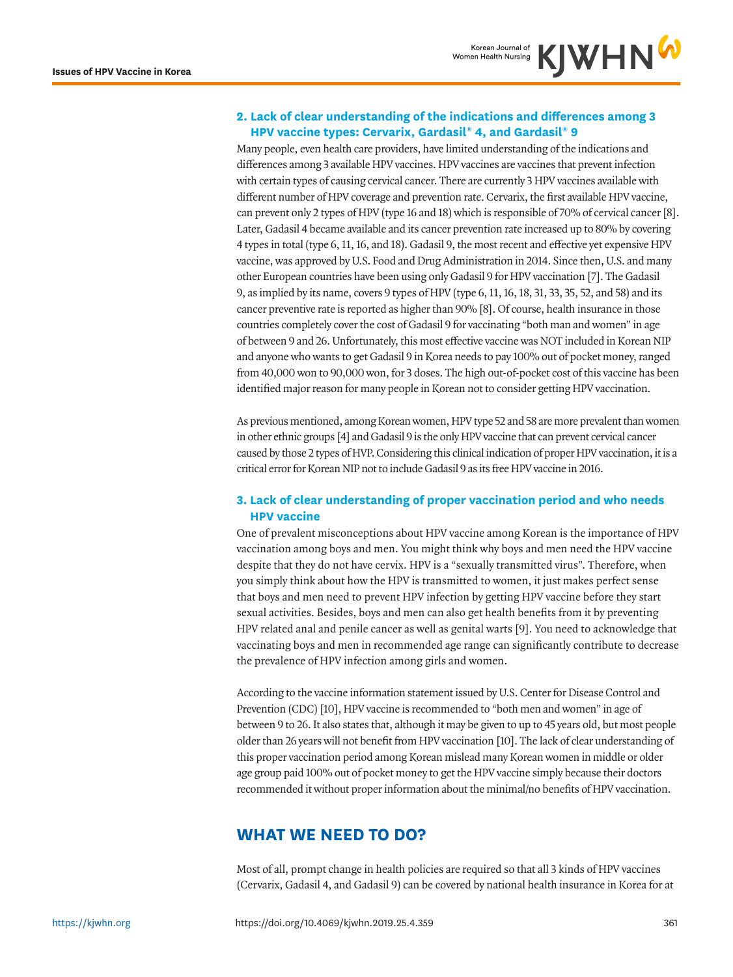### **2. Lack of clear understanding of the indications and differences among 3 HPV vaccine types: Cervarix, Gardasil® 4, and Gardasil® 9**

<span id="page-2-1"></span>Many people, even health care providers, have limited understanding of the indications and differences among 3 available HPV vaccines. HPV vaccines are vaccines that prevent infection with certain types of causing cervical cancer. There are currently 3 HPV vaccines available with different number of HPV coverage and prevention rate. Cervarix, the first available HPV vaccine, can prevent only 2 types of HPV (type 16 and 18) which is responsible of 70% of cervical cancer [\[8](#page-5-4)]. Later, Gadasil 4 became available and its cancer prevention rate increased up to 80% by covering 4 types in total (type 6, 11, 16, and 18). Gadasil 9, the most recent and effective yet expensive HPV vaccine, was approved by U.S. Food and Drug Administration in 2014. Since then, U.S. and many other European countries have been using only Gadasil 9 for HPV vaccination [\[7\]](#page-5-3). The Gadasil 9, as implied by its name, covers 9 types of HPV (type 6, 11, 16, 18, 31, 33, 35, 52, and 58) and its cancer preventive rate is reported as higher than 90% [[8\]](#page-5-4). Of course, health insurance in those countries completely cover the cost of Gadasil 9 for vaccinating "both man and women" in age of between 9 and 26. Unfortunately, this most effective vaccine was NOT included in Korean NIP and anyone who wants to get Gadasil 9 in Korea needs to pay 100% out of pocket money, ranged from 40,000 won to 90,000 won, for 3 doses. The high out-of-pocket cost of this vaccine has been identified major reason for many people in Korean not to consider getting HPV vaccination.

<span id="page-2-2"></span><span id="page-2-0"></span>As previous mentioned, among Korean women, HPV type 52 and 58 are more prevalent than women in other ethnic groups [\[4](#page-5-0)] and Gadasil 9 is the only HPV vaccine that can prevent cervical cancer caused by those 2 types of HVP. Considering this clinical indication of proper HPV vaccination, it is a critical error for Korean NIP not to include Gadasil 9 as its free HPV vaccine in 2016.

### **3. Lack of clear understanding of proper vaccination period and who needs HPV vaccine**

One of prevalent misconceptions about HPV vaccine among Korean is the importance of HPV vaccination among boys and men. You might think why boys and men need the HPV vaccine despite that they do not have cervix. HPV is a "sexually transmitted virus". Therefore, when you simply think about how the HPV is transmitted to women, it just makes perfect sense that boys and men need to prevent HPV infection by getting HPV vaccine before they start sexual activities. Besides, boys and men can also get health benefits from it by preventing HPV related anal and penile cancer as well as genital warts [[9\]](#page-5-5). You need to acknowledge that vaccinating boys and men in recommended age range can significantly contribute to decrease the prevalence of HPV infection among girls and women.

<span id="page-2-4"></span><span id="page-2-3"></span>According to the vaccine information statement issued by U.S. Center for Disease Control and Prevention (CDC) [\[10\]](#page-5-6), HPV vaccine is recommended to "both men and women" in age of between 9 to 26. It also states that, although it may be given to up to 45 years old, but most people older than 26 years will not benefit from HPV vaccination [\[10\]](#page-5-6). The lack of clear understanding of this proper vaccination period among Korean mislead many Korean women in middle or older age group paid 100% out of pocket money to get the HPV vaccine simply because their doctors recommended it without proper information about the minimal/no benefits of HPV vaccination.

# **WHAT WE NEED TO DO?**

Most of all, prompt change in health policies are required so that all 3 kinds of HPV vaccines (Cervarix, Gadasil 4, and Gadasil 9) can be covered by national health insurance in Korea for at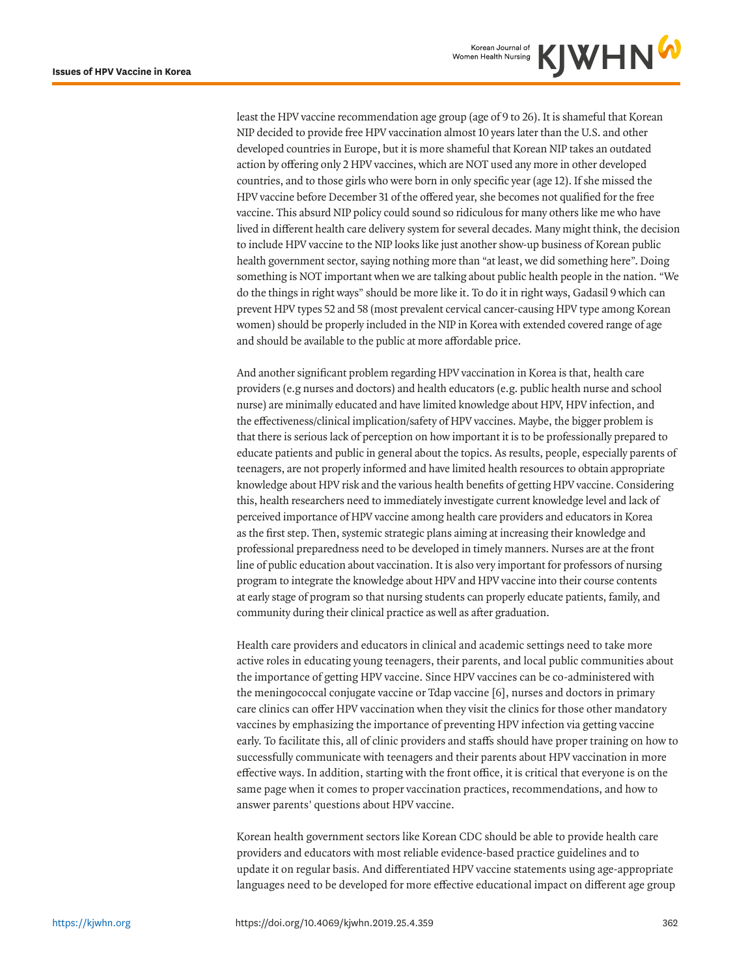least the HPV vaccine recommendation age group (age of 9 to 26). It is shameful that Korean NIP decided to provide free HPV vaccination almost 10 years later than the U.S. and other developed countries in Europe, but it is more shameful that Korean NIP takes an outdated action by offering only 2 HPV vaccines, which are NOT used any more in other developed countries, and to those girls who were born in only specific year (age 12). If she missed the HPV vaccine before December 31 of the offered year, she becomes not qualified for the free vaccine. This absurd NIP policy could sound so ridiculous for many others like me who have lived in different health care delivery system for several decades. Many might think, the decision to include HPV vaccine to the NIP looks like just another show-up business of Korean public health government sector, saying nothing more than "at least, we did something here". Doing something is NOT important when we are talking about public health people in the nation. "We do the things in right ways" should be more like it. To do it in right ways, Gadasil 9 which can prevent HPV types 52 and 58 (most prevalent cervical cancer-causing HPV type among Korean women) should be properly included in the NIP in Korea with extended covered range of age and should be available to the public at more affordable price.

And another significant problem regarding HPV vaccination in Korea is that, health care providers (e.g nurses and doctors) and health educators (e.g. public health nurse and school nurse) are minimally educated and have limited knowledge about HPV, HPV infection, and the effectiveness/clinical implication/safety of HPV vaccines. Maybe, the bigger problem is that there is serious lack of perception on how important it is to be professionally prepared to educate patients and public in general about the topics. As results, people, especially parents of teenagers, are not properly informed and have limited health resources to obtain appropriate knowledge about HPV risk and the various health benefits of getting HPV vaccine. Considering this, health researchers need to immediately investigate current knowledge level and lack of perceived importance of HPV vaccine among health care providers and educators in Korea as the first step. Then, systemic strategic plans aiming at increasing their knowledge and professional preparedness need to be developed in timely manners. Nurses are at the front line of public education about vaccination. It is also very important for professors of nursing program to integrate the knowledge about HPV and HPV vaccine into their course contents at early stage of program so that nursing students can properly educate patients, family, and community during their clinical practice as well as after graduation.

<span id="page-3-0"></span>Health care providers and educators in clinical and academic settings need to take more active roles in educating young teenagers, their parents, and local public communities about the importance of getting HPV vaccine. Since HPV vaccines can be co-administered with the meningococcal conjugate vaccine or Tdap vaccine [[6\]](#page-5-2), nurses and doctors in primary care clinics can offer HPV vaccination when they visit the clinics for those other mandatory vaccines by emphasizing the importance of preventing HPV infection via getting vaccine early. To facilitate this, all of clinic providers and staffs should have proper training on how to successfully communicate with teenagers and their parents about HPV vaccination in more effective ways. In addition, starting with the front office, it is critical that everyone is on the same page when it comes to proper vaccination practices, recommendations, and how to answer parents' questions about HPV vaccine.

Korean health government sectors like Korean CDC should be able to provide health care providers and educators with most reliable evidence-based practice guidelines and to update it on regular basis. And differentiated HPV vaccine statements using age-appropriate languages need to be developed for more effective educational impact on different age group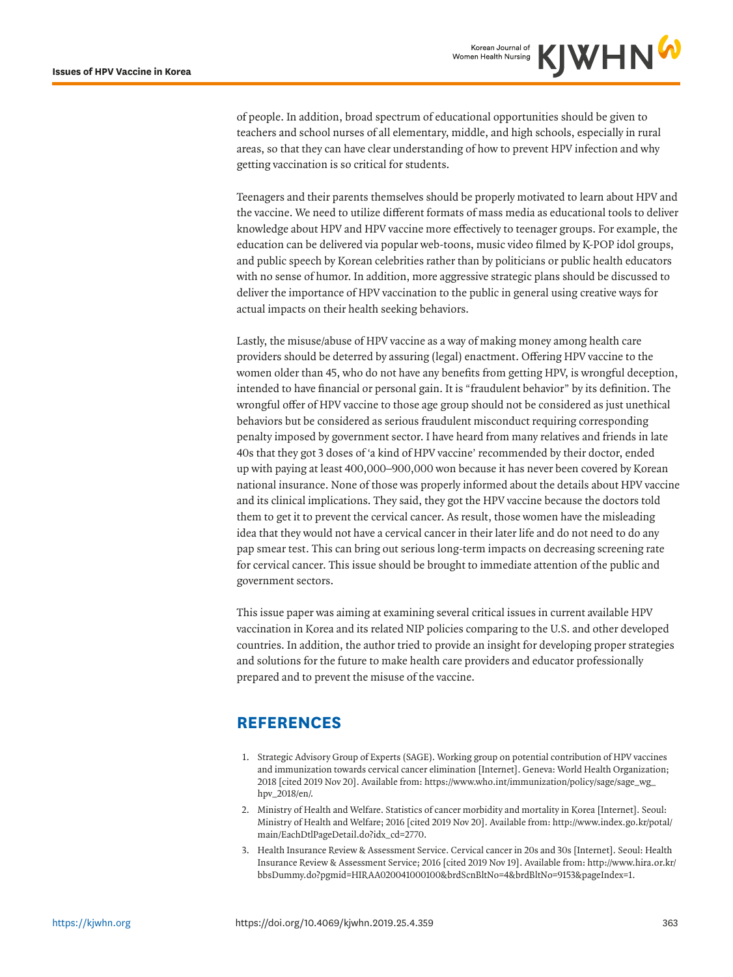of people. In addition, broad spectrum of educational opportunities should be given to teachers and school nurses of all elementary, middle, and high schools, especially in rural areas, so that they can have clear understanding of how to prevent HPV infection and why getting vaccination is so critical for students.

Teenagers and their parents themselves should be properly motivated to learn about HPV and the vaccine. We need to utilize different formats of mass media as educational tools to deliver knowledge about HPV and HPV vaccine more effectively to teenager groups. For example, the education can be delivered via popular web-toons, music video filmed by K-POP idol groups, and public speech by Korean celebrities rather than by politicians or public health educators with no sense of humor. In addition, more aggressive strategic plans should be discussed to deliver the importance of HPV vaccination to the public in general using creative ways for actual impacts on their health seeking behaviors.

Lastly, the misuse/abuse of HPV vaccine as a way of making money among health care providers should be deterred by assuring (legal) enactment. Offering HPV vaccine to the women older than 45, who do not have any benefits from getting HPV, is wrongful deception, intended to have financial or personal gain. It is "fraudulent behavior" by its definition. The wrongful offer of HPV vaccine to those age group should not be considered as just unethical behaviors but be considered as serious fraudulent misconduct requiring corresponding penalty imposed by government sector. I have heard from many relatives and friends in late 40s that they got 3 doses of 'a kind of HPV vaccine' recommended by their doctor, ended up with paying at least 400,000–900,000 won because it has never been covered by Korean national insurance. None of those was properly informed about the details about HPV vaccine and its clinical implications. They said, they got the HPV vaccine because the doctors told them to get it to prevent the cervical cancer. As result, those women have the misleading idea that they would not have a cervical cancer in their later life and do not need to do any pap smear test. This can bring out serious long-term impacts on decreasing screening rate for cervical cancer. This issue should be brought to immediate attention of the public and government sectors.

This issue paper was aiming at examining several critical issues in current available HPV vaccination in Korea and its related NIP policies comparing to the U.S. and other developed countries. In addition, the author tried to provide an insight for developing proper strategies and solutions for the future to make health care providers and educator professionally prepared and to prevent the misuse of the vaccine.

## **REFERENCES**

- <span id="page-4-0"></span>[1.](#page-1-0) Strategic Advisory Group of Experts (SAGE). Working group on potential contribution of HPV vaccines and immunization towards cervical cancer elimination [Internet]. Geneva: World Health Organization; 2018 [cited 2019 Nov 20]. Available from: https://www.who.int/immunization/policy/sage/sage\_wg\_ hpv\_2018/en/.
- <span id="page-4-1"></span>[2.](#page-0-0) Ministry of Health and Welfare. Statistics of cancer morbidity and mortality in Korea [Internet]. Seoul: Ministry of Health and Welfare; 2016 [cited 2019 Nov 20]. Available from: http://www.index.go.kr/potal/ main/EachDtlPageDetail.do?idx\_cd=2770.
- <span id="page-4-2"></span>[3.](#page-0-1) Health Insurance Review & Assessment Service. Cervical cancer in 20s and 30s [Internet]. Seoul: Health Insurance Review & Assessment Service; 2016 [cited 2019 Nov 19]. Available from: http://www.hira.or.kr/ bbsDummy.do?pgmid=HIRAA020041000100&brdScnBltNo=4&brdBltNo=9153&pageIndex=1.